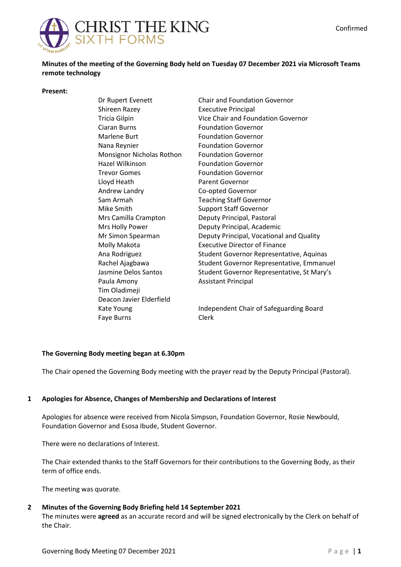

**Minutes of the meeting of the Governing Body held on Tuesday 07 December 2021 via Microsoft Teams remote technology**

#### **Present:**

Dr Rupert Evenett Shireen Razey Tricia Gilpin Ciaran Burns Marlene Burt Nana Reynier Monsignor Nicholas Rothon Hazel Wilkinson Trevor Gomes Lloyd Heath Andrew Landry Sam Armah Mike Smith Mrs Camilla Crampton Mrs Holly Power Mr Simon Spearman Molly Makota Ana Rodriguez Rachel Ajagbawa Jasmine Delos Santos Paula Amony Tim Oladimeji Deacon Javier Elderfield Kate Young Faye Burns

Chair and Foundation Governor Executive Principal Vice Chair and Foundation Governor Foundation Governor Foundation Governor Foundation Governor Foundation Governor Foundation Governor Foundation Governor Parent Governor Co-opted Governor Teaching Staff Governor Support Staff Governor Deputy Principal, Pastoral Deputy Principal, Academic Deputy Principal, Vocational and Quality Executive Director of Finance Student Governor Representative, Aquinas Student Governor Representative, Emmanuel Student Governor Representative, St Mary's Assistant Principal

Independent Chair of Safeguarding Board Clerk

### **The Governing Body meeting began at 6.30pm**

The Chair opened the Governing Body meeting with the prayer read by the Deputy Principal (Pastoral).

### **1 Apologies for Absence, Changes of Membership and Declarations of Interest**

Apologies for absence were received from Nicola Simpson, Foundation Governor, Rosie Newbould, Foundation Governor and Esosa Ibude, Student Governor.

There were no declarations of Interest.

The Chair extended thanks to the Staff Governors for their contributions to the Governing Body, as their term of office ends.

The meeting was quorate.

# **2 Minutes of the Governing Body Briefing held 14 September 2021**

The minutes were **agreed** as an accurate record and will be signed electronically by the Clerk on behalf of the Chair.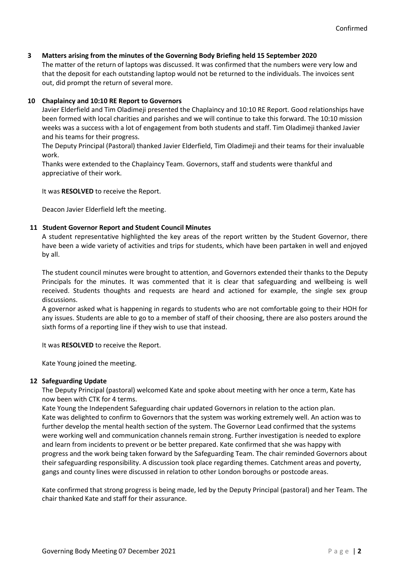## **3 Matters arising from the minutes of the Governing Body Briefing held 15 September 2020**

The matter of the return of laptops was discussed. It was confirmed that the numbers were very low and that the deposit for each outstanding laptop would not be returned to the individuals. The invoices sent out, did prompt the return of several more.

# **10 Chaplaincy and 10:10 RE Report to Governors**

Javier Elderfield and Tim Oladimeji presented the Chaplaincy and 10:10 RE Report. Good relationships have been formed with local charities and parishes and we will continue to take this forward. The 10:10 mission weeks was a success with a lot of engagement from both students and staff. Tim Oladimeji thanked Javier and his teams for their progress.

The Deputy Principal (Pastoral) thanked Javier Elderfield, Tim Oladimeji and their teams for their invaluable work.

Thanks were extended to the Chaplaincy Team. Governors, staff and students were thankful and appreciative of their work.

It was **RESOLVED** to receive the Report.

Deacon Javier Elderfield left the meeting.

### **11 Student Governor Report and Student Council Minutes**

A student representative highlighted the key areas of the report written by the Student Governor, there have been a wide variety of activities and trips for students, which have been partaken in well and enjoyed by all.

The student council minutes were brought to attention, and Governors extended their thanks to the Deputy Principals for the minutes. It was commented that it is clear that safeguarding and wellbeing is well received. Students thoughts and requests are heard and actioned for example, the single sex group discussions.

A governor asked what is happening in regards to students who are not comfortable going to their HOH for any issues. Students are able to go to a member of staff of their choosing, there are also posters around the sixth forms of a reporting line if they wish to use that instead.

It was **RESOLVED** to receive the Report.

Kate Young joined the meeting.

### **12 Safeguarding Update**

The Deputy Principal (pastoral) welcomed Kate and spoke about meeting with her once a term, Kate has now been with CTK for 4 terms.

Kate Young the Independent Safeguarding chair updated Governors in relation to the action plan. Kate was delighted to confirm to Governors that the system was working extremely well. An action was to further develop the mental health section of the system. The Governor Lead confirmed that the systems were working well and communication channels remain strong. Further investigation is needed to explore and learn from incidents to prevent or be better prepared. Kate confirmed that she was happy with progress and the work being taken forward by the Safeguarding Team. The chair reminded Governors about their safeguarding responsibility. A discussion took place regarding themes. Catchment areas and poverty, gangs and county lines were discussed in relation to other London boroughs or postcode areas.

Kate confirmed that strong progress is being made, led by the Deputy Principal (pastoral) and her Team. The chair thanked Kate and staff for their assurance.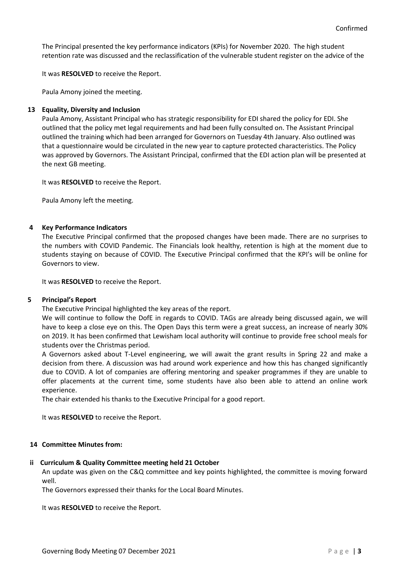The Principal presented the key performance indicators (KPIs) for November 2020. The high student retention rate was discussed and the reclassification of the vulnerable student register on the advice of the

It was **RESOLVED** to receive the Report.

Paula Amony joined the meeting.

#### **13 Equality, Diversity and Inclusion**

Paula Amony, Assistant Principal who has strategic responsibility for EDI shared the policy for EDI. She outlined that the policy met legal requirements and had been fully consulted on. The Assistant Principal outlined the training which had been arranged for Governors on Tuesday 4th January. Also outlined was that a questionnaire would be circulated in the new year to capture protected characteristics. The Policy was approved by Governors. The Assistant Principal, confirmed that the EDI action plan will be presented at the next GB meeting.

It was **RESOLVED** to receive the Report.

Paula Amony left the meeting.

#### **4 Key Performance Indicators**

The Executive Principal confirmed that the proposed changes have been made. There are no surprises to the numbers with COVID Pandemic. The Financials look healthy, retention is high at the moment due to students staying on because of COVID. The Executive Principal confirmed that the KPI's will be online for Governors to view.

It was **RESOLVED** to receive the Report.

#### **5 Principal's Report**

The Executive Principal highlighted the key areas of the report.

We will continue to follow the DofE in regards to COVID. TAGs are already being discussed again, we will have to keep a close eye on this. The Open Days this term were a great success, an increase of nearly 30% on 2019. It has been confirmed that Lewisham local authority will continue to provide free school meals for students over the Christmas period.

A Governors asked about T-Level engineering, we will await the grant results in Spring 22 and make a decision from there. A discussion was had around work experience and how this has changed significantly due to COVID. A lot of companies are offering mentoring and speaker programmes if they are unable to offer placements at the current time, some students have also been able to attend an online work experience.

The chair extended his thanks to the Executive Principal for a good report.

It was **RESOLVED** to receive the Report.

### **14 Committee Minutes from:**

#### **ii Curriculum & Quality Committee meeting held 21 October**

An update was given on the C&Q committee and key points highlighted, the committee is moving forward well.

The Governors expressed their thanks for the Local Board Minutes.

It was **RESOLVED** to receive the Report.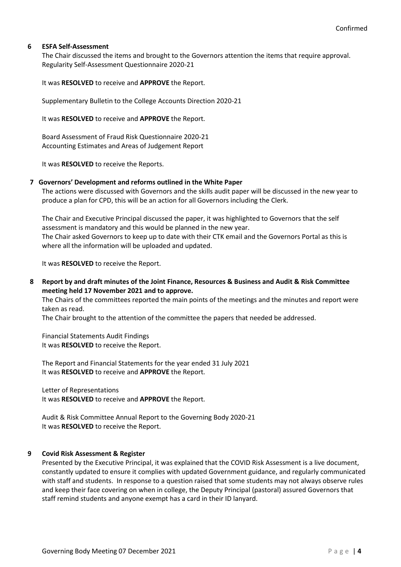## **6 ESFA Self-Assessment**

The Chair discussed the items and brought to the Governors attention the items that require approval. Regularity Self-Assessment Questionnaire 2020-21

It was **RESOLVED** to receive and **APPROVE** the Report.

Supplementary Bulletin to the College Accounts Direction 2020-21

It was **RESOLVED** to receive and **APPROVE** the Report.

Board Assessment of Fraud Risk Questionnaire 2020-21 Accounting Estimates and Areas of Judgement Report

It was **RESOLVED** to receive the Reports.

### **7 Governors' Development and reforms outlined in the White Paper**

The actions were discussed with Governors and the skills audit paper will be discussed in the new year to produce a plan for CPD, this will be an action for all Governors including the Clerk.

The Chair and Executive Principal discussed the paper, it was highlighted to Governors that the self assessment is mandatory and this would be planned in the new year. The Chair asked Governors to keep up to date with their CTK email and the Governors Portal as this is where all the information will be uploaded and updated.

It was **RESOLVED** to receive the Report.

**8 Report by and draft minutes of the Joint Finance, Resources & Business and Audit & Risk Committee meeting held 17 November 2021 and to approve.**

The Chairs of the committees reported the main points of the meetings and the minutes and report were taken as read.

The Chair brought to the attention of the committee the papers that needed be addressed.

Financial Statements Audit Findings It was **RESOLVED** to receive the Report.

The Report and Financial Statements for the year ended 31 July 2021 It was **RESOLVED** to receive and **APPROVE** the Report.

Letter of Representations It was **RESOLVED** to receive and **APPROVE** the Report.

Audit & Risk Committee Annual Report to the Governing Body 2020-21 It was **RESOLVED** to receive the Report.

### **9 Covid Risk Assessment & Register**

Presented by the Executive Principal, it was explained that the COVID Risk Assessment is a live document, constantly updated to ensure it complies with updated Government guidance, and regularly communicated with staff and students. In response to a question raised that some students may not always observe rules and keep their face covering on when in college, the Deputy Principal (pastoral) assured Governors that staff remind students and anyone exempt has a card in their ID lanyard.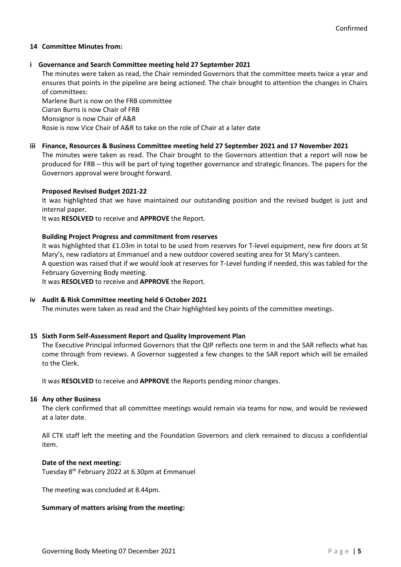## **14 Committee Minutes from:**

## **i Governance and Search Committee meeting held 27 September 2021**

The minutes were taken as read, the Chair reminded Governors that the committee meets twice a year and ensures that points in the pipeline are being actioned. The chair brought to attention the changes in Chairs of committees:

Marlene Burt is now on the FRB committee Ciaran Burns is now Chair of FRB Monsignor is now Chair of A&R Rosie is now Vice Chair of A&R to take on the role of Chair at a later date

# **iii Finance, Resources & Business Committee meeting held 27 September 2021 and 17 November 2021**

The minutes were taken as read. The Chair brought to the Governors attention that a report will now be produced for FRB – this will be part of tying together governance and strategic finances. The papers for the Governors approval were brought forward.

### **Proposed Revised Budget 2021-22**

It was highlighted that we have maintained our outstanding position and the revised budget is just and internal paper.

It was **RESOLVED** to receive and **APPROVE** the Report.

### **Building Project Progress and commitment from reserves**

It was highlighted that £1.03m in total to be used from reserves for T-level equipment, new fire doors at St Mary's, new radiators at Emmanuel and a new outdoor covered seating area for St Mary's canteen. A question was raised that if we would look at reserves for T-Level funding if needed, this was tabled for the February Governing Body meeting.

It was **RESOLVED** to receive and **APPROVE** the Report.

### **iv Audit & Risk Committee meeting held 6 October 2021**

The minutes were taken as read and the Chair highlighted key points of the committee meetings.

### **15 Sixth Form Self-Assessment Report and Quality Improvement Plan**

The Executive Principal informed Governors that the QIP reflects one term in and the SAR reflects what has come through from reviews. A Governor suggested a few changes to the SAR report which will be emailed to the Clerk.

It was **RESOLVED** to receive and **APPROVE** the Reports pending minor changes.

### **16 Any other Business**

The clerk confirmed that all committee meetings would remain via teams for now, and would be reviewed at a later date.

All CTK staff left the meeting and the Foundation Governors and clerk remained to discuss a confidential item.

### **Date of the next meeting:**

Tuesday 8th February 2022 at 6.30pm at Emmanuel

The meeting was concluded at 8.44pm.

### **Summary of matters arising from the meeting:**